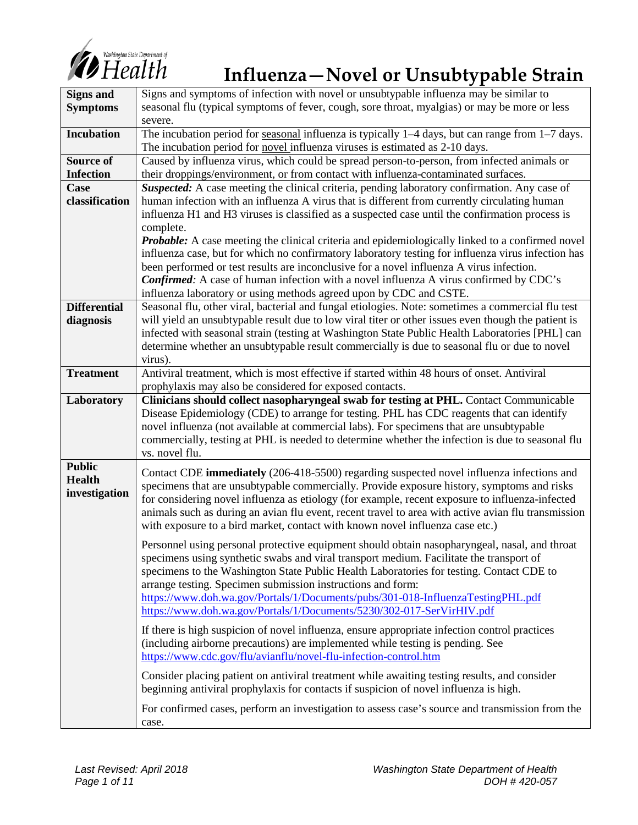

# *<b>10* Health **Instant** Department of **Influenza**—Novel or Unsubtypable Strain

| <b>Signs and</b>    | Signs and symptoms of infection with novel or unsubtypable influenza may be similar to                      |
|---------------------|-------------------------------------------------------------------------------------------------------------|
| <b>Symptoms</b>     | seasonal flu (typical symptoms of fever, cough, sore throat, myalgias) or may be more or less               |
|                     | severe.                                                                                                     |
| <b>Incubation</b>   | The incubation period for <u>seasonal</u> influenza is typically $1-4$ days, but can range from $1-7$ days. |
|                     | The incubation period for novel influenza viruses is estimated as 2-10 days.                                |
| Source of           | Caused by influenza virus, which could be spread person-to-person, from infected animals or                 |
| <b>Infection</b>    | their droppings/environment, or from contact with influenza-contaminated surfaces.                          |
| Case                | <b>Suspected:</b> A case meeting the clinical criteria, pending laboratory confirmation. Any case of        |
| classification      | human infection with an influenza A virus that is different from currently circulating human                |
|                     | influenza H1 and H3 viruses is classified as a suspected case until the confirmation process is             |
|                     | complete.                                                                                                   |
|                     | Probable: A case meeting the clinical criteria and epidemiologically linked to a confirmed novel            |
|                     | influenza case, but for which no confirmatory laboratory testing for influenza virus infection has          |
|                     | been performed or test results are inconclusive for a novel influenza A virus infection.                    |
|                     | <b>Confirmed:</b> A case of human infection with a novel influenza A virus confirmed by CDC's               |
|                     | influenza laboratory or using methods agreed upon by CDC and CSTE.                                          |
| <b>Differential</b> | Seasonal flu, other viral, bacterial and fungal etiologies. Note: sometimes a commercial flu test           |
| diagnosis           | will yield an unsubtypable result due to low viral titer or other issues even though the patient is         |
|                     | infected with seasonal strain (testing at Washington State Public Health Laboratories [PHL] can             |
|                     | determine whether an unsubtypable result commercially is due to seasonal flu or due to novel                |
|                     | virus).                                                                                                     |
| <b>Treatment</b>    | Antiviral treatment, which is most effective if started within 48 hours of onset. Antiviral                 |
|                     | prophylaxis may also be considered for exposed contacts.                                                    |
| Laboratory          | Clinicians should collect nasopharyngeal swab for testing at PHL. Contact Communicable                      |
|                     | Disease Epidemiology (CDE) to arrange for testing. PHL has CDC reagents that can identify                   |
|                     | novel influenza (not available at commercial labs). For specimens that are unsubtypable                     |
|                     | commercially, testing at PHL is needed to determine whether the infection is due to seasonal flu            |
|                     | vs. novel flu.                                                                                              |
| <b>Public</b>       | Contact CDE immediately (206-418-5500) regarding suspected novel influenza infections and                   |
| <b>Health</b>       | specimens that are unsubtypable commercially. Provide exposure history, symptoms and risks                  |
| investigation       | for considering novel influenza as etiology (for example, recent exposure to influenza-infected             |
|                     | animals such as during an avian flu event, recent travel to area with active avian flu transmission         |
|                     | with exposure to a bird market, contact with known novel influenza case etc.)                               |
|                     |                                                                                                             |
|                     | Personnel using personal protective equipment should obtain nasopharyngeal, nasal, and throat               |
|                     | specimens using synthetic swabs and viral transport medium. Facilitate the transport of                     |
|                     | specimens to the Washington State Public Health Laboratories for testing. Contact CDE to                    |
|                     | arrange testing. Specimen submission instructions and form:                                                 |
|                     | https://www.doh.wa.gov/Portals/1/Documents/pubs/301-018-InfluenzaTestingPHL.pdf                             |
|                     | https://www.doh.wa.gov/Portals/1/Documents/5230/302-017-SerVirHIV.pdf                                       |
|                     | If there is high suspicion of novel influenza, ensure appropriate infection control practices               |
|                     | (including airborne precautions) are implemented while testing is pending. See                              |
|                     | https://www.cdc.gov/flu/avianflu/novel-flu-infection-control.htm                                            |
|                     | Consider placing patient on antiviral treatment while awaiting testing results, and consider                |
|                     | beginning antiviral prophylaxis for contacts if suspicion of novel influenza is high.                       |
|                     |                                                                                                             |
|                     | For confirmed cases, perform an investigation to assess case's source and transmission from the             |
|                     | case.                                                                                                       |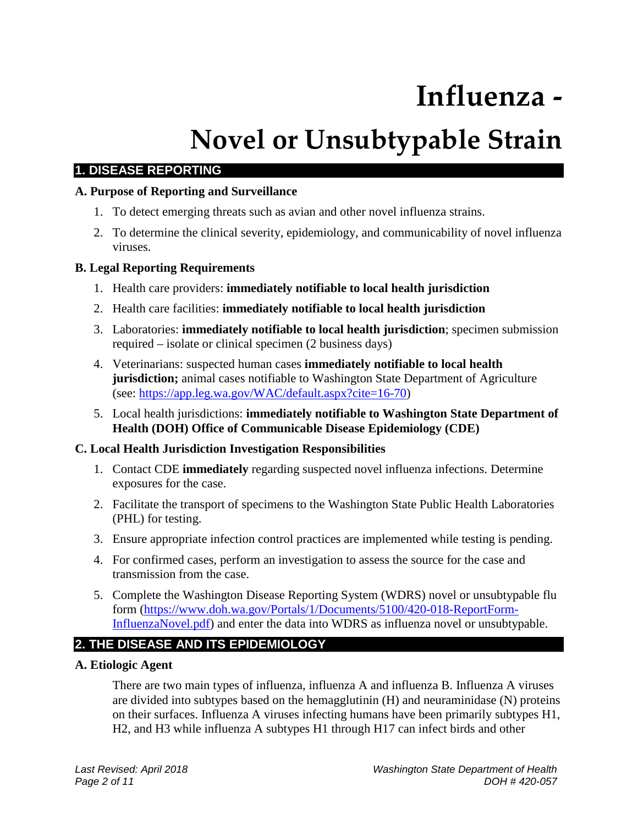# **Influenza -**

# **Novel or Unsubtypable Strain**

# **1. DISEASE REPORTING**

#### **A. Purpose of Reporting and Surveillance**

- 1. To detect emerging threats such as avian and other novel influenza strains.
- 2. To determine the clinical severity, epidemiology, and communicability of novel influenza viruses.

#### **B. Legal Reporting Requirements**

- 1. Health care providers: **immediately notifiable to local health jurisdiction**
- 2. Health care facilities: **immediately notifiable to local health jurisdiction**
- 3. Laboratories: **immediately notifiable to local health jurisdiction**; specimen submission required – isolate or clinical specimen (2 business days)
- 4. Veterinarians: suspected human cases **immediately notifiable to local health jurisdiction;** animal cases notifiable to Washington State Department of Agriculture (see: [https://app.leg.wa.gov/WAC/default.aspx?cite=16-70\)](https://app.leg.wa.gov/WAC/default.aspx?cite=16-70)
- 5. Local health jurisdictions: **immediately notifiable to Washington State Department of Health (DOH) Office of Communicable Disease Epidemiology (CDE)**

#### **C. Local Health Jurisdiction Investigation Responsibilities**

- 1. Contact CDE **immediately** regarding suspected novel influenza infections. Determine exposures for the case.
- 2. Facilitate the transport of specimens to the Washington State Public Health Laboratories (PHL) for testing.
- 3. Ensure appropriate infection control practices are implemented while testing is pending.
- 4. For confirmed cases, perform an investigation to assess the source for the case and transmission from the case.
- 5. Complete the Washington Disease Reporting System (WDRS) novel or unsubtypable flu form [\(https://www.doh.wa.gov/Portals/1/Documents/5100/420-018-ReportForm-](https://www.doh.wa.gov/Portals/1/Documents/5100/420-018-ReportForm-InfluenzaNovel.pdf)[InfluenzaNovel.pdf\)](https://www.doh.wa.gov/Portals/1/Documents/5100/420-018-ReportForm-InfluenzaNovel.pdf) and enter the data into WDRS as influenza novel or unsubtypable.

#### **2. THE DISEASE AND ITS EPIDEMIOLOGY**

#### **A. Etiologic Agent**

There are two main types of influenza, influenza A and influenza B. Influenza A viruses are divided into subtypes based on the hemagglutinin (H) and neuraminidase (N) proteins on their surfaces. Influenza A viruses infecting humans have been primarily subtypes H1, H2, and H3 while influenza A subtypes H1 through H17 can infect birds and other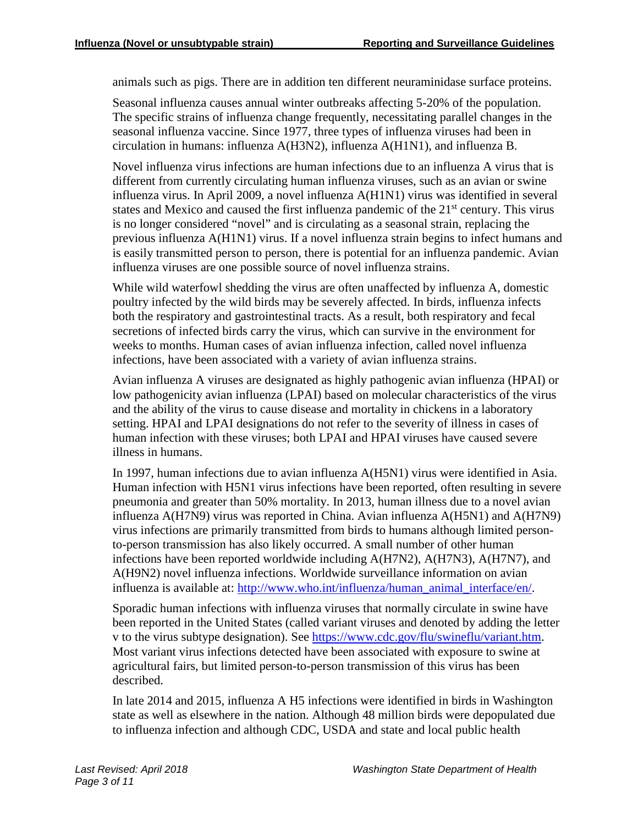animals such as pigs. There are in addition ten different neuraminidase surface proteins.

Seasonal influenza causes annual winter outbreaks affecting 5-20% of the population. The specific strains of influenza change frequently, necessitating parallel changes in the seasonal influenza vaccine. Since 1977, three types of influenza viruses had been in circulation in humans: influenza A(H3N2), influenza A(H1N1), and influenza B.

Novel influenza virus infections are human infections due to an influenza A virus that is different from currently circulating human influenza viruses, such as an avian or swine influenza virus. In April 2009, a novel influenza A(H1N1) virus was identified in several states and Mexico and caused the first influenza pandemic of the  $21<sup>st</sup>$  century. This virus is no longer considered "novel" and is circulating as a seasonal strain, replacing the previous influenza A(H1N1) virus. If a novel influenza strain begins to infect humans and is easily transmitted person to person, there is potential for an influenza pandemic. Avian influenza viruses are one possible source of novel influenza strains.

While wild waterfowl shedding the virus are often unaffected by influenza A, domestic poultry infected by the wild birds may be severely affected. In birds, influenza infects both the respiratory and gastrointestinal tracts. As a result, both respiratory and fecal secretions of infected birds carry the virus, which can survive in the environment for weeks to months. Human cases of avian influenza infection, called novel influenza infections, have been associated with a variety of avian influenza strains.

Avian influenza A viruses are designated as highly pathogenic avian influenza (HPAI) or low pathogenicity avian influenza (LPAI) based on molecular characteristics of the virus and the ability of the virus to cause disease and mortality in chickens in a laboratory setting. HPAI and LPAI designations do not refer to the severity of illness in cases of human infection with these viruses; both LPAI and HPAI viruses have caused severe illness in humans.

In 1997, human infections due to avian influenza A(H5N1) virus were identified in Asia. Human infection with H5N1 virus infections have been reported, often resulting in severe pneumonia and greater than 50% mortality. In 2013, human illness due to a novel avian influenza A(H7N9) virus was reported in China. Avian influenza A(H5N1) and A(H7N9) virus infections are primarily transmitted from birds to humans although limited personto-person transmission has also likely occurred. A small number of other human infections have been reported worldwide including A(H7N2), A(H7N3), A(H7N7), and A(H9N2) novel influenza infections. Worldwide surveillance information on avian influenza is available at: [http://www.who.int/influenza/human\\_animal\\_interface/en/.](http://www.who.int/influenza/human_animal_interface/en/)

Sporadic human infections with influenza viruses that normally circulate in swine have been reported in the United States (called variant viruses and denoted by adding the letter v to the virus subtype designation). See [https://www.cdc.gov/flu/swineflu/variant.htm.](https://www.cdc.gov/flu/swineflu/variant.htm) Most variant virus infections detected have been associated with exposure to swine at agricultural fairs, but limited person-to-person transmission of this virus has been described.

In late 2014 and 2015, influenza A H5 infections were identified in birds in Washington state as well as elsewhere in the nation. Although 48 million birds were depopulated due to influenza infection and although CDC, USDA and state and local public health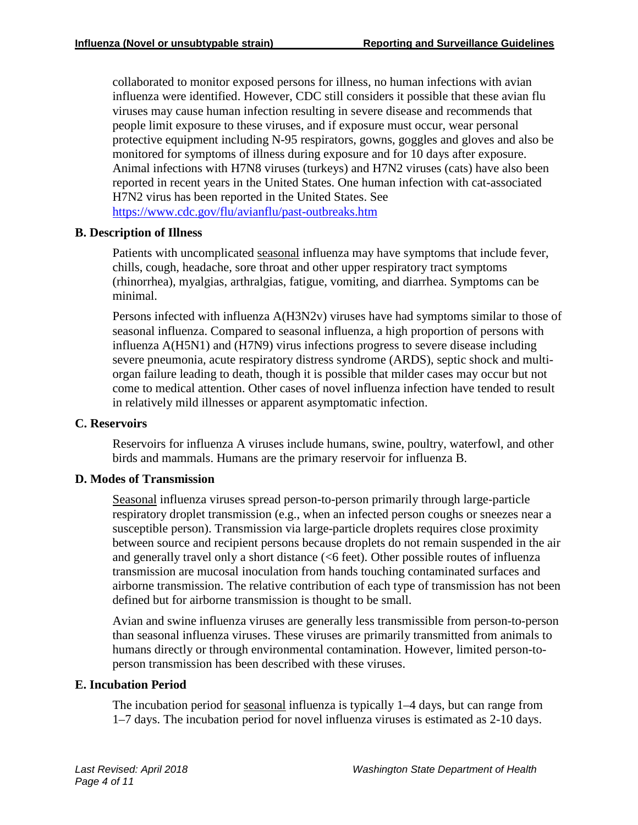collaborated to monitor exposed persons for illness, no human infections with avian influenza were identified. However, CDC still considers it possible that these avian flu viruses may cause human infection resulting in severe disease and recommends that people limit exposure to these viruses, and if exposure must occur, wear personal protective equipment including N-95 respirators, gowns, goggles and gloves and also be monitored for symptoms of illness during exposure and for 10 days after exposure. Animal infections with H7N8 viruses (turkeys) and H7N2 viruses (cats) have also been reported in recent years in the United States. One human infection with cat-associated H7N2 virus has been reported in the United States. See <https://www.cdc.gov/flu/avianflu/past-outbreaks.htm>

#### **B. Description of Illness**

Patients with uncomplicated seasonal influenza may have symptoms that include fever, chills, cough, headache, sore throat and other upper respiratory tract symptoms (rhinorrhea), myalgias, arthralgias, fatigue, vomiting, and diarrhea. Symptoms can be minimal.

Persons infected with influenza A(H3N2v) viruses have had symptoms similar to those of seasonal influenza. Compared to seasonal influenza, a high proportion of persons with influenza A(H5N1) and (H7N9) virus infections progress to severe disease including severe pneumonia, acute respiratory distress syndrome (ARDS), septic shock and multiorgan failure leading to death, though it is possible that milder cases may occur but not come to medical attention. Other cases of novel influenza infection have tended to result in relatively mild illnesses or apparent asymptomatic infection.

#### **C. Reservoirs**

Reservoirs for influenza A viruses include humans, swine, poultry, waterfowl, and other birds and mammals. Humans are the primary reservoir for influenza B.

#### **D. Modes of Transmission**

Seasonal influenza viruses spread person-to-person primarily through large-particle respiratory droplet transmission (e.g., when an infected person coughs or sneezes near a susceptible person). Transmission via large-particle droplets requires close proximity between source and recipient persons because droplets do not remain suspended in the air and generally travel only a short distance (<6 feet). Other possible routes of influenza transmission are mucosal inoculation from hands touching contaminated surfaces and airborne transmission. The relative contribution of each type of transmission has not been defined but for airborne transmission is thought to be small.

Avian and swine influenza viruses are generally less transmissible from person-to-person than seasonal influenza viruses. These viruses are primarily transmitted from animals to humans directly or through environmental contamination. However, limited person-toperson transmission has been described with these viruses.

#### **E. Incubation Period**

The incubation period for seasonal influenza is typically 1–4 days, but can range from 1–7 days. The incubation period for novel influenza viruses is estimated as 2-10 days.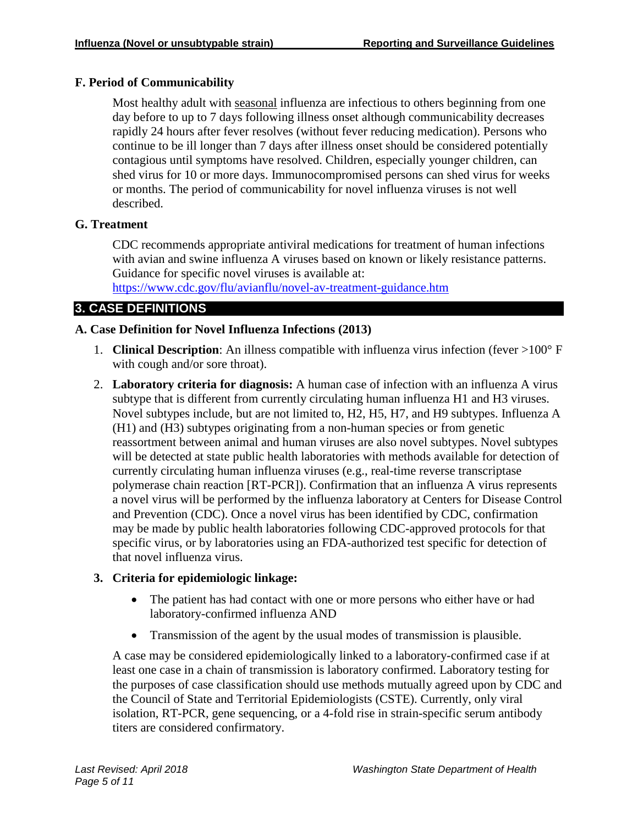#### **F. Period of Communicability**

Most healthy adult with seasonal influenza are infectious to others beginning from one day before to up to 7 days following illness onset although communicability decreases rapidly 24 hours after fever resolves (without fever reducing medication). Persons who continue to be ill longer than 7 days after illness onset should be considered potentially contagious until symptoms have resolved. Children, especially younger children, can shed virus for 10 or more days. Immunocompromised persons can shed virus for weeks or months. The period of communicability for novel influenza viruses is not well described.

#### **G. Treatment**

CDC recommends appropriate antiviral medications for treatment of human infections with avian and swine influenza A viruses based on known or likely resistance patterns. Guidance for specific novel viruses is available at:

<https://www.cdc.gov/flu/avianflu/novel-av-treatment-guidance.htm>

# **3. CASE DEFINITIONS**

# **A. Case Definition for Novel Influenza Infections (2013)**

- 1. **Clinical Description**: An illness compatible with influenza virus infection (fever >100° F with cough and/or sore throat).
- 2. **Laboratory criteria for diagnosis:** A human case of infection with an influenza A virus subtype that is different from currently circulating human influenza H1 and H3 viruses. Novel subtypes include, but are not limited to, H2, H5, H7, and H9 subtypes. Influenza A (H1) and (H3) subtypes originating from a non-human species or from genetic reassortment between animal and human viruses are also novel subtypes. Novel subtypes will be detected at state public health laboratories with methods available for detection of currently circulating human influenza viruses (e.g., real-time reverse transcriptase polymerase chain reaction [RT-PCR]). Confirmation that an influenza A virus represents a novel virus will be performed by the influenza laboratory at Centers for Disease Control and Prevention (CDC). Once a novel virus has been identified by CDC, confirmation may be made by public health laboratories following CDC-approved protocols for that specific virus, or by laboratories using an FDA-authorized test specific for detection of that novel influenza virus.

# **3. Criteria for epidemiologic linkage:**

- The patient has had contact with one or more persons who either have or had laboratory-confirmed influenza AND
- Transmission of the agent by the usual modes of transmission is plausible.

A case may be considered epidemiologically linked to a laboratory-confirmed case if at least one case in a chain of transmission is laboratory confirmed. Laboratory testing for the purposes of case classification should use methods mutually agreed upon by CDC and the Council of State and Territorial Epidemiologists (CSTE). Currently, only viral isolation, RT-PCR, gene sequencing, or a 4-fold rise in strain-specific serum antibody titers are considered confirmatory.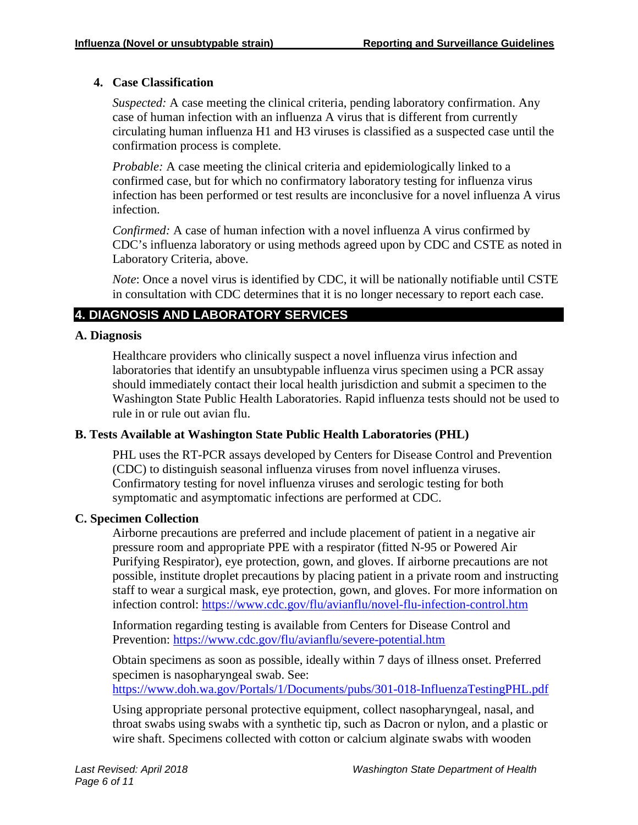#### **4. Case Classification**

*Suspected:* A case meeting the clinical criteria, pending laboratory confirmation. Any case of human infection with an influenza A virus that is different from currently circulating human influenza H1 and H3 viruses is classified as a suspected case until the confirmation process is complete.

*Probable:* A case meeting the clinical criteria and epidemiologically linked to a confirmed case, but for which no confirmatory laboratory testing for influenza virus infection has been performed or test results are inconclusive for a novel influenza A virus infection.

*Confirmed:* A case of human infection with a novel influenza A virus confirmed by CDC's influenza laboratory or using methods agreed upon by CDC and CSTE as noted in Laboratory Criteria, above.

*Note*: Once a novel virus is identified by CDC, it will be nationally notifiable until CSTE in consultation with CDC determines that it is no longer necessary to report each case.

# **4. DIAGNOSIS AND LABORATORY SERVICES**

#### **A. Diagnosis**

Healthcare providers who clinically suspect a novel influenza virus infection and laboratories that identify an unsubtypable influenza virus specimen using a PCR assay should immediately contact their local health jurisdiction and submit a specimen to the Washington State Public Health Laboratories. Rapid influenza tests should not be used to rule in or rule out avian flu.

# **B. Tests Available at Washington State Public Health Laboratories (PHL)**

PHL uses the RT-PCR assays developed by Centers for Disease Control and Prevention (CDC) to distinguish seasonal influenza viruses from novel influenza viruses. Confirmatory testing for novel influenza viruses and serologic testing for both symptomatic and asymptomatic infections are performed at CDC.

#### **C. Specimen Collection**

Airborne precautions are preferred and include placement of patient in a negative air pressure room and appropriate PPE with a respirator (fitted N-95 or Powered Air Purifying Respirator), eye protection, gown, and gloves. If airborne precautions are not possible, institute droplet precautions by placing patient in a private room and instructing staff to wear a surgical mask, eye protection, gown, and gloves. For more information on infection control:<https://www.cdc.gov/flu/avianflu/novel-flu-infection-control.htm>

Information regarding testing is available from Centers for Disease Control and Prevention:<https://www.cdc.gov/flu/avianflu/severe-potential.htm>

Obtain specimens as soon as possible, ideally within 7 days of illness onset. Preferred specimen is nasopharyngeal swab. See:

<https://www.doh.wa.gov/Portals/1/Documents/pubs/301-018-InfluenzaTestingPHL.pdf>

Using appropriate personal protective equipment, collect nasopharyngeal, nasal, and throat swabs using swabs with a synthetic tip, such as Dacron or nylon, and a plastic or wire shaft. Specimens collected with cotton or calcium alginate swabs with wooden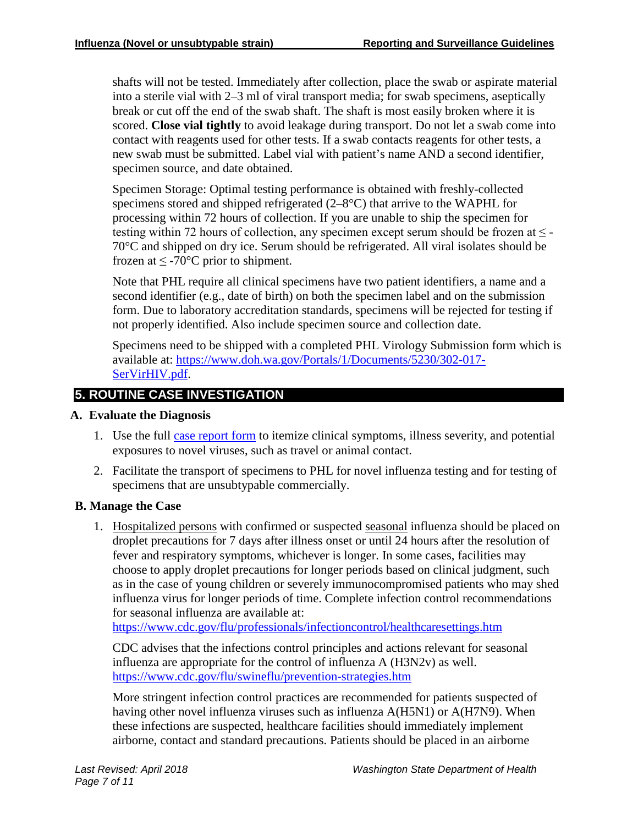shafts will not be tested. Immediately after collection, place the swab or aspirate material into a sterile vial with 2–3 ml of viral transport media; for swab specimens, aseptically break or cut off the end of the swab shaft. The shaft is most easily broken where it is scored. **Close vial tightly** to avoid leakage during transport. Do not let a swab come into contact with reagents used for other tests. If a swab contacts reagents for other tests, a new swab must be submitted. Label vial with patient's name AND a second identifier, specimen source, and date obtained.

Specimen Storage: Optimal testing performance is obtained with freshly-collected specimens stored and shipped refrigerated (2–8°C) that arrive to the WAPHL for processing within 72 hours of collection. If you are unable to ship the specimen for testing within 72 hours of collection, any specimen except serum should be frozen at  $\leq$ -70°C and shipped on dry ice. Serum should be refrigerated. All viral isolates should be frozen at  $\leq$  -70°C prior to shipment.

Note that PHL require all clinical specimens have two patient identifiers, a name and a second identifier (e.g., date of birth) on both the specimen label and on the submission form. Due to laboratory accreditation standards, specimens will be rejected for testing if not properly identified. Also include specimen source and collection date.

Specimens need to be shipped with a completed PHL Virology Submission form which is available at: [https://www.doh.wa.gov/Portals/1/Documents/5230/302-017-](https://www.doh.wa.gov/Portals/1/Documents/5230/302-017-SerVirHIV.pdf) [SerVirHIV.pdf.](https://www.doh.wa.gov/Portals/1/Documents/5230/302-017-SerVirHIV.pdf)

# **5. ROUTINE CASE INVESTIGATION**

#### **A. Evaluate the Diagnosis**

- 1. Use the full [case report form](https://www.doh.wa.gov/Portals/1/Documents/5100/420-018-ReportForm-InfluenzaNovel.pdf) to itemize clinical symptoms, illness severity, and potential exposures to novel viruses, such as travel or animal contact.
- 2. Facilitate the transport of specimens to PHL for novel influenza testing and for testing of specimens that are unsubtypable commercially.

#### **B. Manage the Case**

1. Hospitalized persons with confirmed or suspected seasonal influenza should be placed on droplet precautions for 7 days after illness onset or until 24 hours after the resolution of fever and respiratory symptoms, whichever is longer. In some cases, facilities may choose to apply droplet precautions for longer periods based on clinical judgment, such as in the case of young children or severely immunocompromised patients who may shed influenza virus for longer periods of time. Complete infection control recommendations for seasonal influenza are available at:

<https://www.cdc.gov/flu/professionals/infectioncontrol/healthcaresettings.htm>

CDC advises that the infections control principles and actions relevant for seasonal influenza are appropriate for the control of influenza A (H3N2v) as well. <https://www.cdc.gov/flu/swineflu/prevention-strategies.htm>

More stringent infection control practices are recommended for patients suspected of having other novel influenza viruses such as influenza A(H5N1) or A(H7N9). When these infections are suspected, healthcare facilities should immediately implement airborne, contact and standard precautions. Patients should be placed in an airborne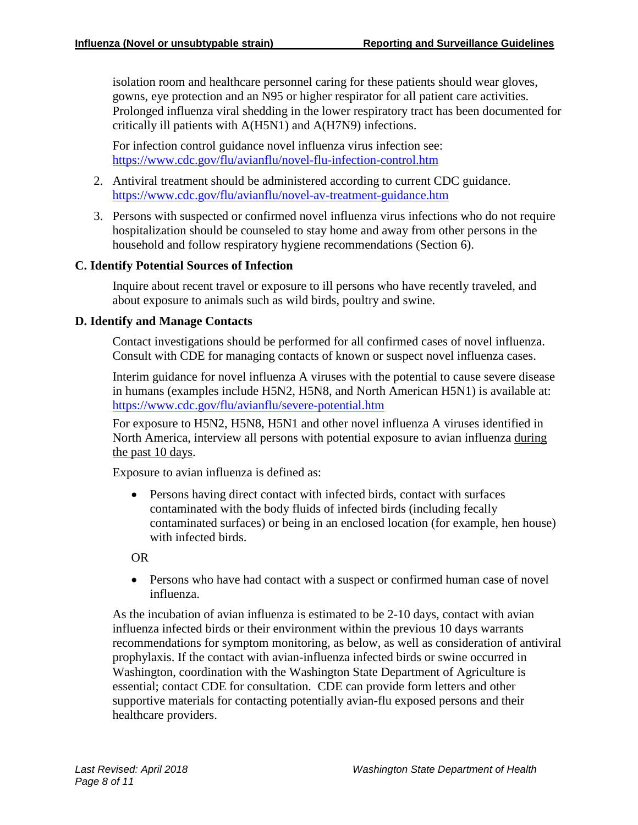isolation room and healthcare personnel caring for these patients should wear gloves, gowns, eye protection and an N95 or higher respirator for all patient care activities. Prolonged influenza viral shedding in the lower respiratory tract has been documented for critically ill patients with A(H5N1) and A(H7N9) infections.

For infection control guidance novel influenza virus infection see: <https://www.cdc.gov/flu/avianflu/novel-flu-infection-control.htm>

- 2. Antiviral treatment should be administered according to current CDC guidance. <https://www.cdc.gov/flu/avianflu/novel-av-treatment-guidance.htm>
- 3. Persons with suspected or confirmed novel influenza virus infections who do not require hospitalization should be counseled to stay home and away from other persons in the household and follow respiratory hygiene recommendations (Section 6).

#### **C. Identify Potential Sources of Infection**

Inquire about recent travel or exposure to ill persons who have recently traveled, and about exposure to animals such as wild birds, poultry and swine.

#### **D. Identify and Manage Contacts**

Contact investigations should be performed for all confirmed cases of novel influenza. Consult with CDE for managing contacts of known or suspect novel influenza cases.

Interim guidance for novel influenza A viruses with the potential to cause severe disease in humans (examples include H5N2, H5N8, and North American H5N1) is available at: <https://www.cdc.gov/flu/avianflu/severe-potential.htm>

For exposure to H5N2, H5N8, H5N1 and other novel influenza A viruses identified in North America, interview all persons with potential exposure to avian influenza during the past 10 days.

Exposure to avian influenza is defined as:

• Persons having direct contact with infected birds, contact with surfaces contaminated with the body fluids of infected birds (including fecally contaminated surfaces) or being in an enclosed location (for example, hen house) with infected birds.

OR

• Persons who have had contact with a suspect or confirmed human case of novel influenza.

As the incubation of avian influenza is estimated to be 2-10 days, contact with avian influenza infected birds or their environment within the previous 10 days warrants recommendations for symptom monitoring, as below, as well as consideration of antiviral prophylaxis. If the contact with avian-influenza infected birds or swine occurred in Washington, coordination with the Washington State Department of Agriculture is essential; contact CDE for consultation. CDE can provide form letters and other supportive materials for contacting potentially avian-flu exposed persons and their healthcare providers.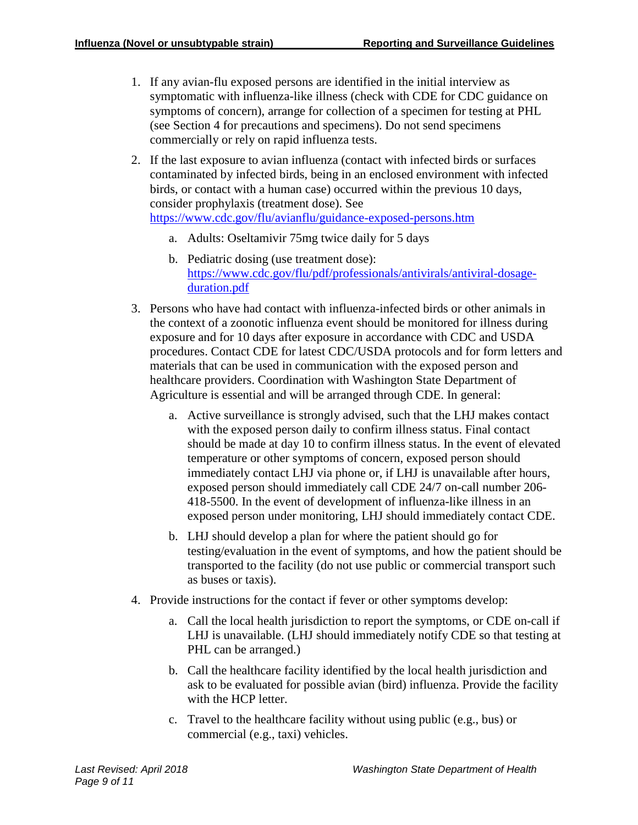- 1. If any avian-flu exposed persons are identified in the initial interview as symptomatic with influenza-like illness (check with CDE for CDC guidance on symptoms of concern), arrange for collection of a specimen for testing at PHL (see Section 4 for precautions and specimens). Do not send specimens commercially or rely on rapid influenza tests.
- 2. If the last exposure to avian influenza (contact with infected birds or surfaces contaminated by infected birds, being in an enclosed environment with infected birds, or contact with a human case) occurred within the previous 10 days, consider prophylaxis (treatment dose). See <https://www.cdc.gov/flu/avianflu/guidance-exposed-persons.htm>
	- a. Adults: Oseltamivir 75mg twice daily for 5 days
	- b. Pediatric dosing (use treatment dose): [https://www.cdc.gov/flu/pdf/professionals/antivirals/antiviral-dosage](https://www.cdc.gov/flu/pdf/professionals/antivirals/antiviral-dosage-duration.pdf)[duration.pdf](https://www.cdc.gov/flu/pdf/professionals/antivirals/antiviral-dosage-duration.pdf)
- 3. Persons who have had contact with influenza-infected birds or other animals in the context of a zoonotic influenza event should be monitored for illness during exposure and for 10 days after exposure in accordance with CDC and USDA procedures. Contact CDE for latest CDC/USDA protocols and for form letters and materials that can be used in communication with the exposed person and healthcare providers. Coordination with Washington State Department of Agriculture is essential and will be arranged through CDE. In general:
	- a. Active surveillance is strongly advised, such that the LHJ makes contact with the exposed person daily to confirm illness status. Final contact should be made at day 10 to confirm illness status. In the event of elevated temperature or other symptoms of concern, exposed person should immediately contact LHJ via phone or, if LHJ is unavailable after hours, exposed person should immediately call CDE 24/7 on-call number 206- 418-5500. In the event of development of influenza-like illness in an exposed person under monitoring, LHJ should immediately contact CDE.
	- b. LHJ should develop a plan for where the patient should go for testing/evaluation in the event of symptoms, and how the patient should be transported to the facility (do not use public or commercial transport such as buses or taxis).
- 4. Provide instructions for the contact if fever or other symptoms develop:
	- a. Call the local health jurisdiction to report the symptoms, or CDE on-call if LHJ is unavailable. (LHJ should immediately notify CDE so that testing at PHL can be arranged.)
	- b. Call the healthcare facility identified by the local health jurisdiction and ask to be evaluated for possible avian (bird) influenza. Provide the facility with the HCP letter.
	- c. Travel to the healthcare facility without using public (e.g., bus) or commercial (e.g., taxi) vehicles.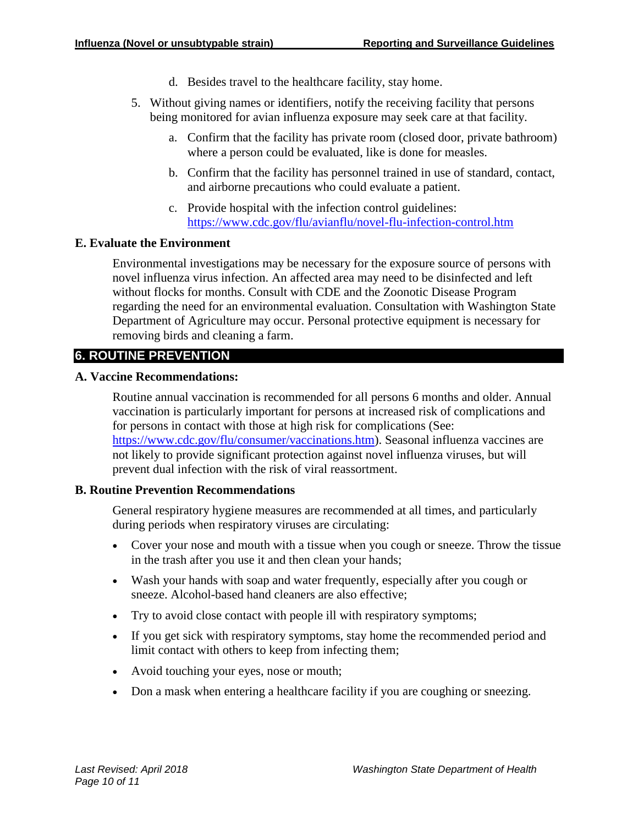- d. Besides travel to the healthcare facility, stay home.
- 5. Without giving names or identifiers, notify the receiving facility that persons being monitored for avian influenza exposure may seek care at that facility.
	- a. Confirm that the facility has private room (closed door, private bathroom) where a person could be evaluated, like is done for measles.
	- b. Confirm that the facility has personnel trained in use of standard, contact, and airborne precautions who could evaluate a patient.
	- c. Provide hospital with the infection control guidelines: <https://www.cdc.gov/flu/avianflu/novel-flu-infection-control.htm>

#### **E. Evaluate the Environment**

Environmental investigations may be necessary for the exposure source of persons with novel influenza virus infection. An affected area may need to be disinfected and left without flocks for months. Consult with CDE and the Zoonotic Disease Program regarding the need for an environmental evaluation. Consultation with Washington State Department of Agriculture may occur. Personal protective equipment is necessary for removing birds and cleaning a farm.

#### **6. ROUTINE PREVENTION**

#### **A. Vaccine Recommendations:**

Routine annual vaccination is recommended for all persons 6 months and older. Annual vaccination is particularly important for persons at increased risk of complications and for persons in contact with those at high risk for complications (See: [https://www.cdc.gov/flu/consumer/vaccinations.htm\)](https://www.cdc.gov/flu/consumer/vaccinations.htm). Seasonal influenza vaccines are not likely to provide significant protection against novel influenza viruses, but will prevent dual infection with the risk of viral reassortment.

#### **B. Routine Prevention Recommendations**

General respiratory hygiene measures are recommended at all times, and particularly during periods when respiratory viruses are circulating:

- Cover your nose and mouth with a tissue when you cough or sneeze. Throw the tissue in the trash after you use it and then clean your hands;
- Wash your hands with soap and water frequently, especially after you cough or sneeze. Alcohol-based hand cleaners are also effective;
- Try to avoid close contact with people ill with respiratory symptoms;
- If you get sick with respiratory symptoms, stay home the recommended period and limit contact with others to keep from infecting them;
- Avoid touching your eyes, nose or mouth;
- Don a mask when entering a healthcare facility if you are coughing or sneezing.